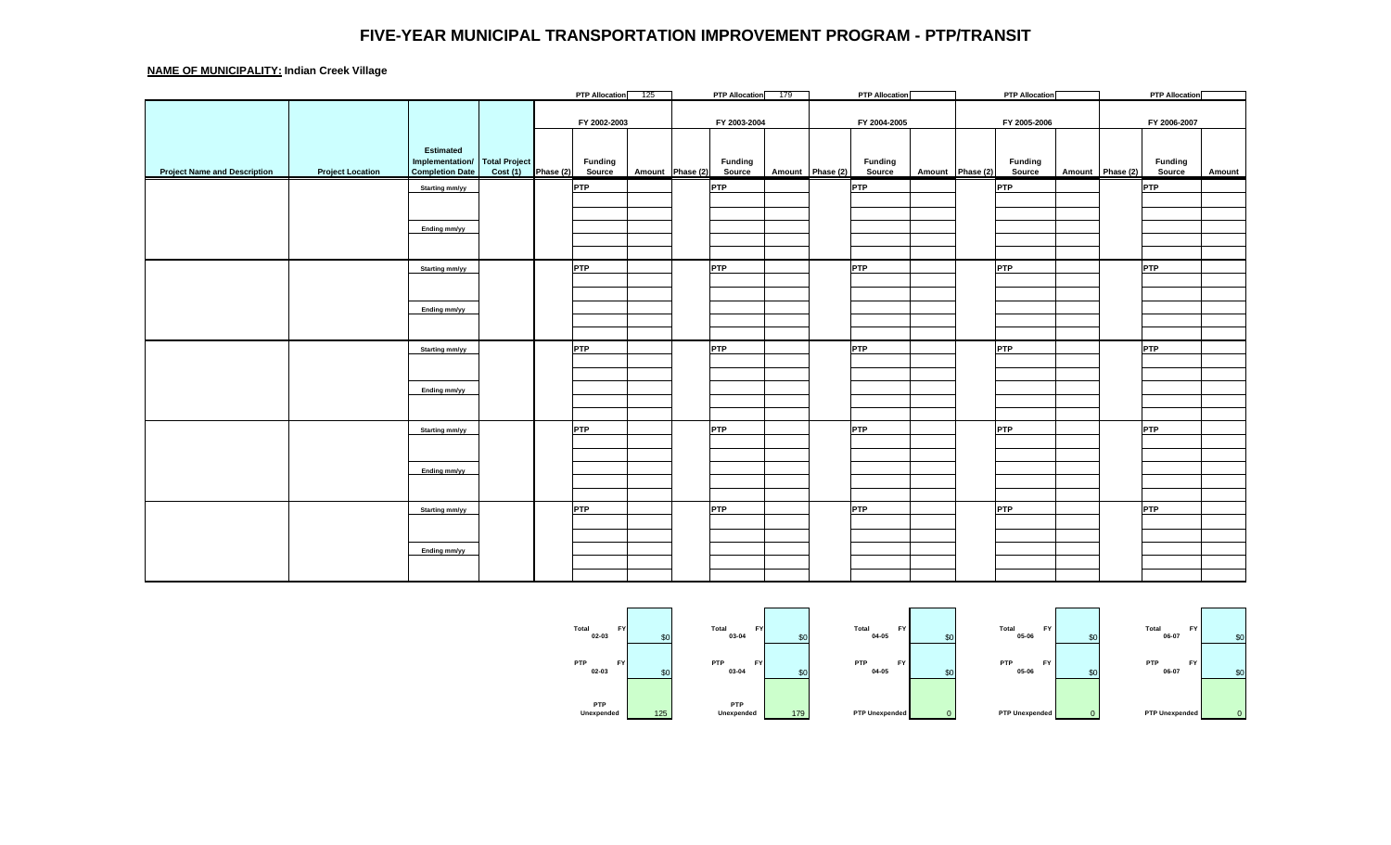## **FIVE-YEAR MUNICIPAL TRANSPORTATION IMPROVEMENT PROGRAM - PTP/TRANSIT**

## **NAME OF MUNICIPALITY: Indian Creek Village**

|                                     |                         |                        |                      |              | PTP Allocation 125 |                  |              | <b>PTP Allocation</b> | 179 |                  | <b>PTP Allocation</b> |                  |              | <b>PTP Allocation</b> |                  |              | <b>PTP Allocation</b> |               |
|-------------------------------------|-------------------------|------------------------|----------------------|--------------|--------------------|------------------|--------------|-----------------------|-----|------------------|-----------------------|------------------|--------------|-----------------------|------------------|--------------|-----------------------|---------------|
|                                     |                         |                        |                      |              |                    |                  |              |                       |     |                  |                       |                  |              |                       |                  |              |                       |               |
|                                     |                         |                        |                      | FY 2002-2003 |                    |                  | FY 2003-2004 |                       |     | FY 2004-2005     |                       |                  | FY 2005-2006 |                       |                  | FY 2006-2007 |                       |               |
|                                     |                         |                        |                      |              |                    |                  |              |                       |     |                  |                       |                  |              |                       |                  |              |                       |               |
|                                     |                         | Estimated              |                      |              |                    |                  |              |                       |     |                  |                       |                  |              |                       |                  |              |                       |               |
|                                     |                         | Implementation/        | <b>Total Project</b> |              | <b>Funding</b>     |                  |              | <b>Funding</b>        |     |                  | <b>Funding</b>        |                  |              | <b>Funding</b>        |                  |              | <b>Funding</b>        |               |
| <b>Project Name and Description</b> | <b>Project Location</b> | <b>Completion Date</b> | Cost(1)              | Phase (2)    | Source             | Amount Phase (2) |              | Source                |     | Amount Phase (2) | Source                | Amount Phase (2) |              | Source                | Amount Phase (2) |              | Source                | <b>Amount</b> |
|                                     |                         | Starting mm/yy         |                      |              | <b>PTP</b>         |                  |              | <b>PTP</b>            |     |                  | PTP                   |                  |              | <b>PTP</b>            |                  |              | <b>PTP</b>            |               |
|                                     |                         |                        |                      |              |                    |                  |              |                       |     |                  |                       |                  |              |                       |                  |              |                       |               |
|                                     |                         |                        |                      |              |                    |                  |              |                       |     |                  |                       |                  |              |                       |                  |              |                       |               |
|                                     |                         | Ending mm/yy           |                      |              |                    |                  |              |                       |     |                  |                       |                  |              |                       |                  |              |                       |               |
|                                     |                         |                        |                      |              |                    |                  |              |                       |     |                  |                       |                  |              |                       |                  |              |                       |               |
|                                     |                         |                        |                      |              |                    |                  |              |                       |     |                  |                       |                  |              |                       |                  |              |                       |               |
|                                     |                         | Starting mm/yy         |                      |              | <b>PTP</b>         |                  |              | <b>PTP</b>            |     |                  | PTP                   |                  |              | <b>PTP</b>            |                  |              | <b>PTP</b>            |               |
|                                     |                         |                        |                      |              |                    |                  |              |                       |     |                  |                       |                  |              |                       |                  |              |                       |               |
|                                     |                         |                        |                      |              |                    |                  |              |                       |     |                  |                       |                  |              |                       |                  |              |                       |               |
|                                     |                         | Ending mm/yy           |                      |              |                    |                  |              |                       |     |                  |                       |                  |              |                       |                  |              |                       |               |
|                                     |                         |                        |                      |              |                    |                  |              |                       |     |                  |                       |                  |              |                       |                  |              |                       |               |
|                                     |                         |                        |                      |              |                    |                  |              |                       |     |                  |                       |                  |              |                       |                  |              |                       |               |
|                                     |                         | Starting mm/yy         |                      |              | <b>PTP</b>         |                  |              | <b>PTP</b>            |     |                  | PTP                   |                  |              | <b>PTP</b>            |                  |              | <b>PTP</b>            |               |
|                                     |                         |                        |                      |              |                    |                  |              |                       |     |                  |                       |                  |              |                       |                  |              |                       |               |
|                                     |                         |                        |                      |              |                    |                  |              |                       |     |                  |                       |                  |              |                       |                  |              |                       |               |
|                                     |                         | Ending mm/yy           |                      |              |                    |                  |              |                       |     |                  |                       |                  |              |                       |                  |              |                       |               |
|                                     |                         |                        |                      |              |                    |                  |              |                       |     |                  |                       |                  |              |                       |                  |              |                       |               |
|                                     |                         |                        |                      |              |                    |                  |              |                       |     |                  |                       |                  |              |                       |                  |              |                       |               |
|                                     |                         | Starting mm/yy         |                      |              | PTP                |                  |              | <b>PTP</b>            |     |                  | PTP                   |                  |              | <b>PTP</b>            |                  |              | <b>PTP</b>            |               |
|                                     |                         |                        |                      |              |                    |                  |              |                       |     |                  |                       |                  |              |                       |                  |              |                       |               |
|                                     |                         |                        |                      |              |                    |                  |              |                       |     |                  |                       |                  |              |                       |                  |              |                       |               |
|                                     |                         | Ending mm/yy           |                      |              |                    |                  |              |                       |     |                  |                       |                  |              |                       |                  |              |                       |               |
|                                     |                         |                        |                      |              |                    |                  |              |                       |     |                  |                       |                  |              |                       |                  |              |                       |               |
|                                     |                         |                        |                      |              |                    |                  |              |                       |     |                  |                       |                  |              |                       |                  |              |                       |               |
|                                     |                         | Starting mm/yy         |                      |              | PTP                |                  |              | <b>PTP</b>            |     |                  | PTP                   |                  |              | <b>PTP</b>            |                  |              | <b>PTP</b>            |               |
|                                     |                         |                        |                      |              |                    |                  |              |                       |     |                  |                       |                  |              |                       |                  |              |                       |               |
|                                     |                         |                        |                      |              |                    |                  |              |                       |     |                  |                       |                  |              |                       |                  |              |                       |               |
|                                     |                         | Ending mm/yy           |                      |              |                    |                  |              |                       |     |                  |                       |                  |              |                       |                  |              |                       |               |
|                                     |                         |                        |                      |              |                    |                  |              |                       |     |                  |                       |                  |              |                       |                  |              |                       |               |
|                                     |                         |                        |                      |              |                    |                  |              |                       |     |                  |                       |                  |              |                       |                  |              |                       |               |